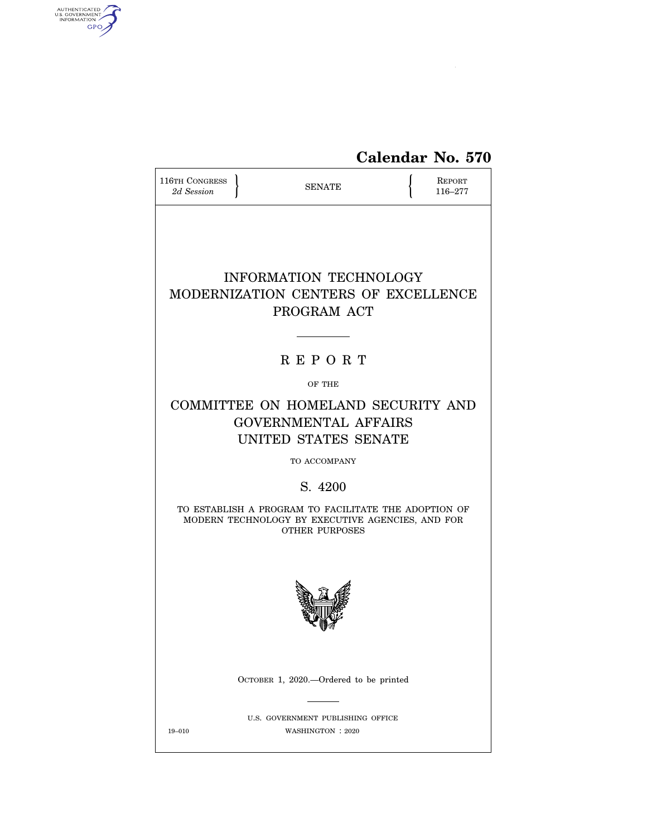

| 116TH CONGRESS<br>2d Session | <b>SENATE</b>                                                                                                                     | REPORT<br>116–277 |
|------------------------------|-----------------------------------------------------------------------------------------------------------------------------------|-------------------|
|                              | <b>INFORMATION TECHNOLOGY</b><br>MODERNIZATION CENTERS OF EXCELLENCE<br>PROGRAM ACT                                               |                   |
|                              | <b>REPORT</b>                                                                                                                     |                   |
|                              | OF THE                                                                                                                            |                   |
|                              | COMMITTEE ON HOMELAND SECURITY AND<br><b>GOVERNMENTAL AFFAIRS</b><br>UNITED STATES SENATE                                         |                   |
|                              | TO ACCOMPANY                                                                                                                      |                   |
|                              | S. 4200                                                                                                                           |                   |
|                              | TO ESTABLISH A PROGRAM TO FACILITATE THE ADOPTION OF<br>MODERN TECHNOLOGY BY EXECUTIVE AGENCIES, AND FOR<br><b>OTHER PURPOSES</b> |                   |
|                              |                                                                                                                                   |                   |
|                              | OCTOBER 1, 2020.—Ordered to be printed                                                                                            |                   |
| 19-010                       | U.S. GOVERNMENT PUBLISHING OFFICE<br>WASHINGTON : 2020                                                                            |                   |

AUTHENTICATED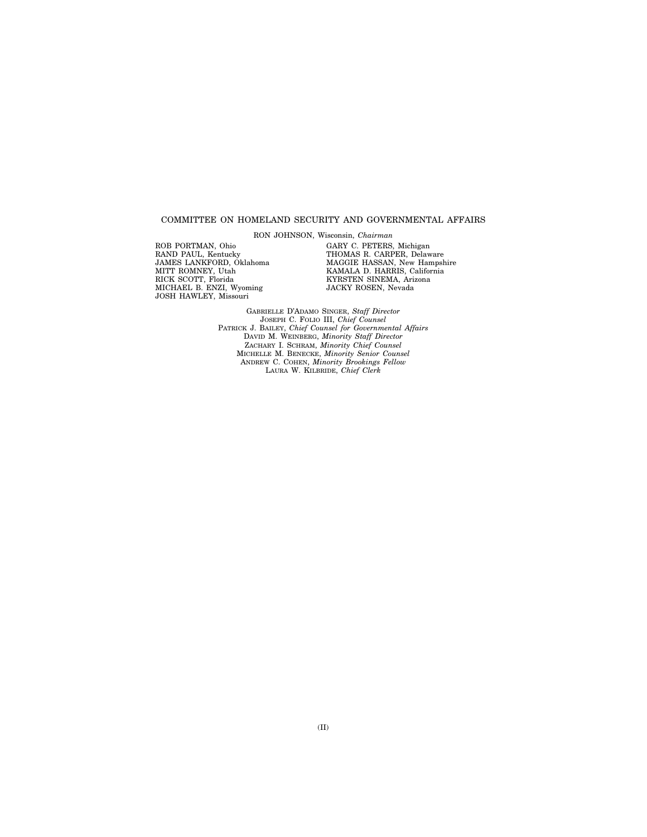#### COMMITTEE ON HOMELAND SECURITY AND GOVERNMENTAL AFFAIRS

RON JOHNSON, Wisconsin, *Chairman* 

ROB PORTMAN, Ohio RAND PAUL, Kentucky JAMES LANKFORD, Oklahoma MITT ROMNEY, Utah RICK SCOTT, Florida MICHAEL B. ENZI, Wyoming JOSH HAWLEY, Missouri

GARY C. PETERS, Michigan THOMAS R. CARPER, Delaware MAGGIE HASSAN, New Hampshire KAMALA D. HARRIS, California KYRSTEN SINEMA, Arizona JACKY ROSEN, Nevada

GABRIELLE D'ADAMO SINGER, *Staff Director*  JOSEPH C. FOLIO III, *Chief Counsel*  PATRICK J. BAILEY, *Chief Counsel for Governmental Affairs*  DAVID M. WEINBERG, *Minority Staff Director*  ZACHARY I. SCHRAM, *Minority Chief Counsel*  MICHELLE M. BENECKE, *Minority Senior Counsel*  ANDREW C. COHEN, *Minority Brookings Fellow*  LAURA W. KILBRIDE, *Chief Clerk*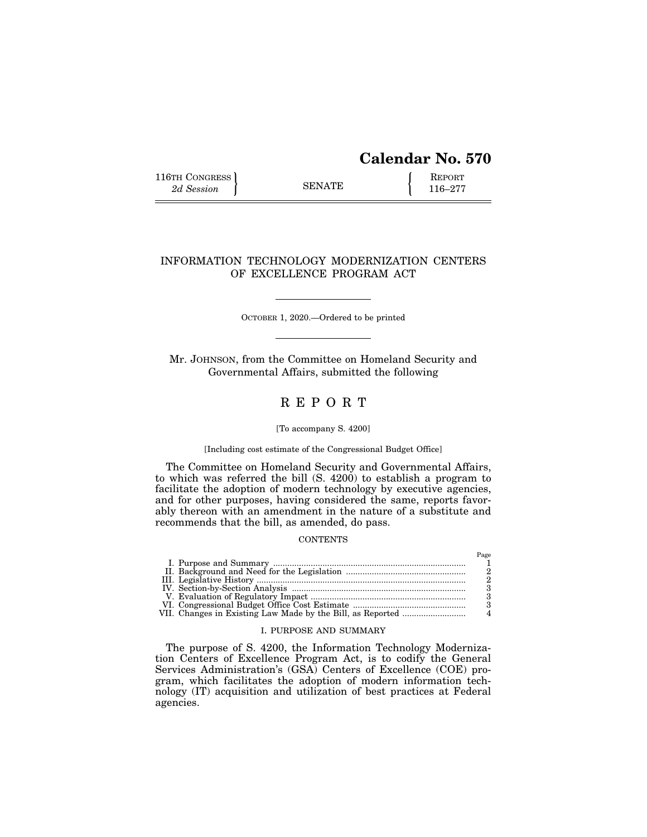# **Calendar No. 570**

Page

116TH CONGRESS **REPORT** 2d Session **116–277** 

## INFORMATION TECHNOLOGY MODERNIZATION CENTERS OF EXCELLENCE PROGRAM ACT

OCTOBER 1, 2020.—Ordered to be printed

Mr. JOHNSON, from the Committee on Homeland Security and Governmental Affairs, submitted the following

## R E P O R T

#### [To accompany S. 4200]

### [Including cost estimate of the Congressional Budget Office]

The Committee on Homeland Security and Governmental Affairs, to which was referred the bill (S. 4200) to establish a program to facilitate the adoption of modern technology by executive agencies, and for other purposes, having considered the same, reports favorably thereon with an amendment in the nature of a substitute and recommends that the bill, as amended, do pass.

### **CONTENTS**

## I. PURPOSE AND SUMMARY

The purpose of S. 4200, the Information Technology Modernization Centers of Excellence Program Act, is to codify the General Services Administration's (GSA) Centers of Excellence (COE) program, which facilitates the adoption of modern information technology (IT) acquisition and utilization of best practices at Federal agencies.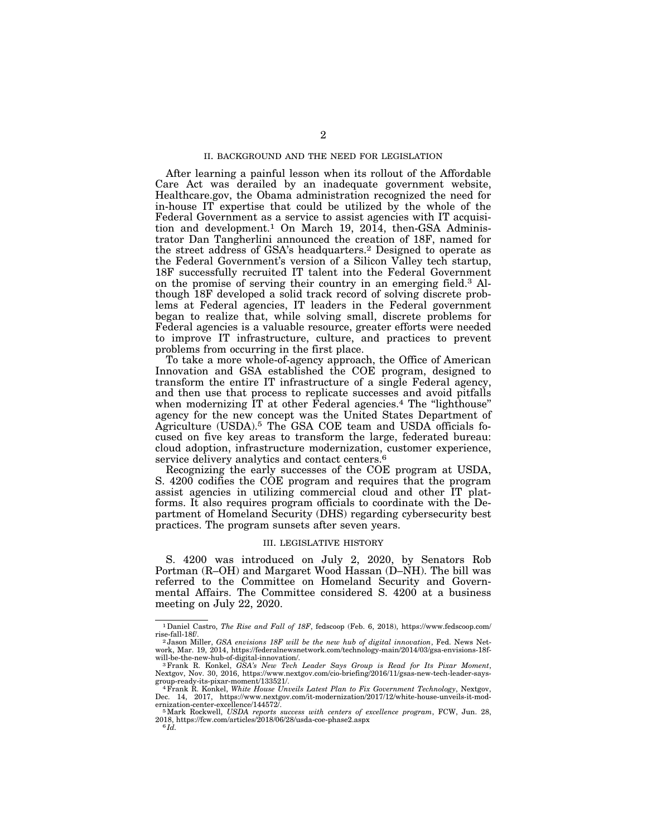#### II. BACKGROUND AND THE NEED FOR LEGISLATION

After learning a painful lesson when its rollout of the Affordable Care Act was derailed by an inadequate government website, Healthcare.gov, the Obama administration recognized the need for in-house IT expertise that could be utilized by the whole of the Federal Government as a service to assist agencies with IT acquisition and development.1 On March 19, 2014, then-GSA Administrator Dan Tangherlini announced the creation of 18F, named for the street address of GSA's headquarters.2 Designed to operate as the Federal Government's version of a Silicon Valley tech startup, 18F successfully recruited IT talent into the Federal Government on the promise of serving their country in an emerging field.3 Although 18F developed a solid track record of solving discrete problems at Federal agencies, IT leaders in the Federal government began to realize that, while solving small, discrete problems for Federal agencies is a valuable resource, greater efforts were needed to improve IT infrastructure, culture, and practices to prevent problems from occurring in the first place.

To take a more whole-of-agency approach, the Office of American Innovation and GSA established the COE program, designed to transform the entire IT infrastructure of a single Federal agency, and then use that process to replicate successes and avoid pitfalls when modernizing IT at other Federal agencies.<sup>4</sup> The "lighthouse" agency for the new concept was the United States Department of Agriculture (USDA).5 The GSA COE team and USDA officials focused on five key areas to transform the large, federated bureau: cloud adoption, infrastructure modernization, customer experience, service delivery analytics and contact centers.<sup>6</sup>

Recognizing the early successes of the COE program at USDA, S. 4200 codifies the COE program and requires that the program assist agencies in utilizing commercial cloud and other IT platforms. It also requires program officials to coordinate with the Department of Homeland Security (DHS) regarding cybersecurity best practices. The program sunsets after seven years.

#### III. LEGISLATIVE HISTORY

S. 4200 was introduced on July 2, 2020, by Senators Rob Portman (R–OH) and Margaret Wood Hassan (D–NH). The bill was referred to the Committee on Homeland Security and Governmental Affairs. The Committee considered S. 4200 at a business meeting on July 22, 2020.

<sup>1</sup>Daniel Castro, *The Rise and Fall of 18F*, fedscoop (Feb. 6, 2018), https://www.fedscoop.com/

rise-fall-18f/. 2 Jason Miller, *GSA envisions 18F will be the new hub of digital innovation*, Fed. News Network, Mar. 19, 2014, https://federalnewsnetwork.com/technology-main/2014/03/gsa-envisions-18f-

<sup>&</sup>lt;sup>3</sup> Frank R. Konkel, *GSA's New Tech Leader Says Group is Read for Its Pixar Moment*, Nextgov, Nov. 30, 2016, https://www.nextgov.com/cio-briefing/2016/11/gsas-new-tech-leader-says-

<sup>&</sup>lt;sup>4</sup> Frank R. Konkel, *White House Unveils Latest Plan to Fix Government Technology*, Nextgov, Dec. 14, 2017, https://www.nextgov.com/it-modernization/2017/12/white-house-unveils-it-modernization-center-excellence/144572/. 5Mark Rockwell, *USDA reports success with centers of excellence program*, FCW, Jun. 28,

<sup>2018,</sup> https://fcw.com/articles/2018/06/28/usda-coe-phase2.aspx 6 *Id.*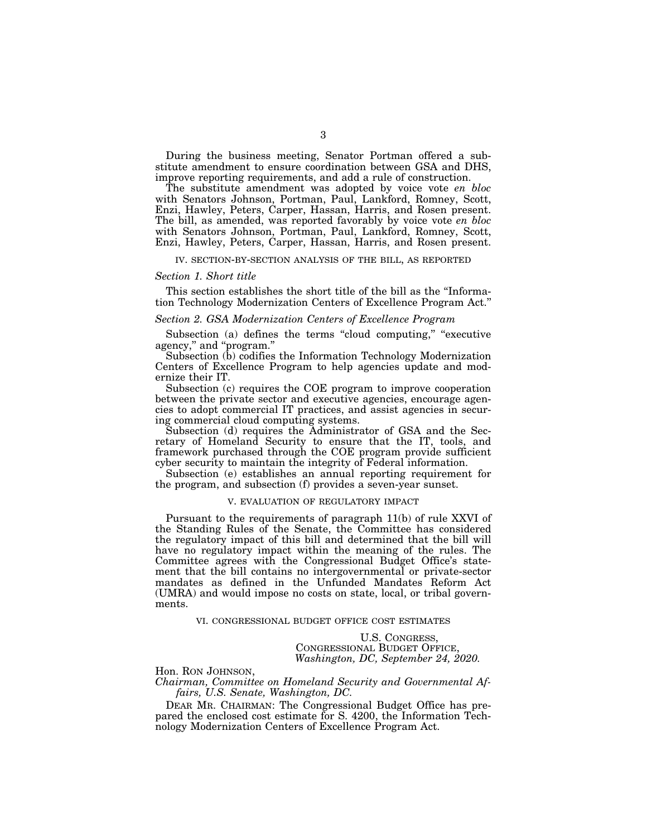During the business meeting, Senator Portman offered a substitute amendment to ensure coordination between GSA and DHS, improve reporting requirements, and add a rule of construction.

The substitute amendment was adopted by voice vote *en bloc*  with Senators Johnson, Portman, Paul, Lankford, Romney, Scott, Enzi, Hawley, Peters, Carper, Hassan, Harris, and Rosen present. The bill, as amended, was reported favorably by voice vote *en bloc*  with Senators Johnson, Portman, Paul, Lankford, Romney, Scott, Enzi, Hawley, Peters, Carper, Hassan, Harris, and Rosen present.

#### IV. SECTION-BY-SECTION ANALYSIS OF THE BILL, AS REPORTED

#### *Section 1. Short title*

This section establishes the short title of the bill as the ''Information Technology Modernization Centers of Excellence Program Act.''

### *Section 2. GSA Modernization Centers of Excellence Program*

Subsection (a) defines the terms "cloud computing," "executive agency,'' and ''program.''

Subsection (b) codifies the Information Technology Modernization Centers of Excellence Program to help agencies update and modernize their IT.

Subsection (c) requires the COE program to improve cooperation between the private sector and executive agencies, encourage agencies to adopt commercial IT practices, and assist agencies in securing commercial cloud computing systems.

Subsection (d) requires the Administrator of GSA and the Secretary of Homeland Security to ensure that the IT, tools, and framework purchased through the COE program provide sufficient cyber security to maintain the integrity of Federal information.

Subsection (e) establishes an annual reporting requirement for the program, and subsection (f) provides a seven-year sunset.

#### V. EVALUATION OF REGULATORY IMPACT

Pursuant to the requirements of paragraph 11(b) of rule XXVI of the Standing Rules of the Senate, the Committee has considered the regulatory impact of this bill and determined that the bill will have no regulatory impact within the meaning of the rules. The Committee agrees with the Congressional Budget Office's statement that the bill contains no intergovernmental or private-sector mandates as defined in the Unfunded Mandates Reform Act (UMRA) and would impose no costs on state, local, or tribal governments.

### VI. CONGRESSIONAL BUDGET OFFICE COST ESTIMATES

U.S. CONGRESS, CONGRESSIONAL BUDGET OFFICE, *Washington, DC, September 24, 2020.* 

Hon. RON JOHNSON, *Chairman, Committee on Homeland Security and Governmental Affairs, U.S. Senate, Washington, DC.* 

DEAR MR. CHAIRMAN: The Congressional Budget Office has prepared the enclosed cost estimate for S. 4200, the Information Technology Modernization Centers of Excellence Program Act.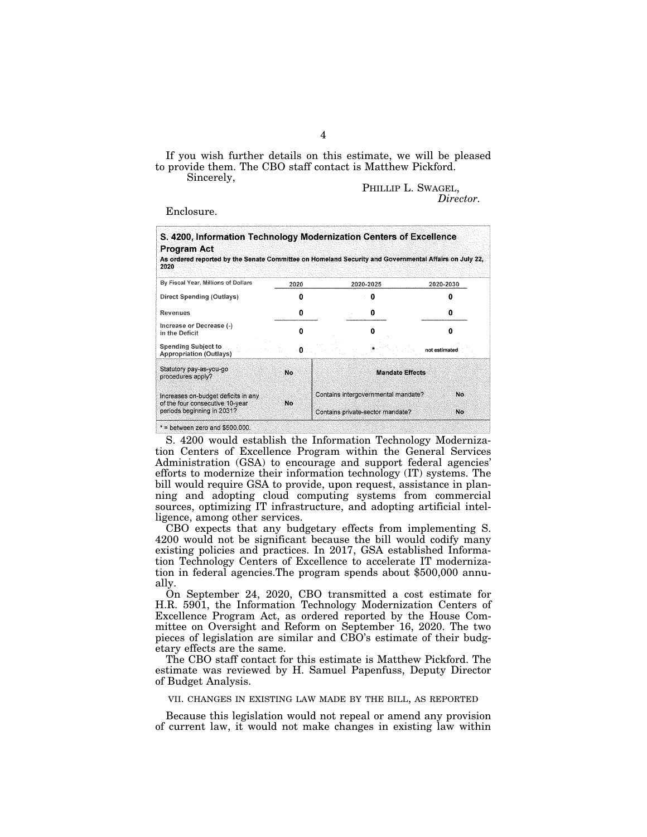If you wish further details on this estimate, we will be pleased to provide them. The CBO staff contact is Matthew Pickford.

Sincerely,

PHILLIP L. SWAGEL, *Director.* 

Enclosure.

| S. 4200, Information Technology Modernization Centers of Excellence<br><b>Program Act</b><br>As ordered reported by the Senate Committee on Homeland Security and Governmental Affairs on July 22,<br>2020 |      |                                     |               |
|------------------------------------------------------------------------------------------------------------------------------------------------------------------------------------------------------------|------|-------------------------------------|---------------|
| By Fiscal Year, Millions of Dollars                                                                                                                                                                        | 2020 | 2020-2025                           | 2020-2030     |
| Direct Spending (Outlays)                                                                                                                                                                                  | o    | Ω                                   |               |
| Revenues                                                                                                                                                                                                   | o    | 0                                   |               |
| Increase or Decrease (-)<br>in the Deficit                                                                                                                                                                 | Λ    | Ω                                   |               |
| Spending Subject to<br><b>Appropriation (Outlays)</b>                                                                                                                                                      | п    |                                     | not estimated |
| Statutory pay-as-you-go<br>procedures apply?                                                                                                                                                               | No   | <b>Mandate Effects</b>              |               |
| Increases on-budget deficits in any<br>of the four consecutive 10-year.                                                                                                                                    | No   | Contains intergovernmental mandate? | No            |
| periods beginning in 2031?                                                                                                                                                                                 |      | Contains private-sector mandate?    | No            |

S. 4200 would establish the Information Technology Modernization Centers of Excellence Program within the General Services Administration (GSA) to encourage and support federal agencies' efforts to modernize their information technology (IT) systems. The bill would require GSA to provide, upon request, assistance in planning and adopting cloud computing systems from commercial sources, optimizing IT infrastructure, and adopting artificial intelligence, among other services.

CBO expects that any budgetary effects from implementing S. 4200 would not be significant because the bill would codify many existing policies and practices. In 2017, GSA established Information Technology Centers of Excellence to accelerate IT modernization in federal agencies.The program spends about \$500,000 annually.

On September 24, 2020, CBO transmitted a cost estimate for H.R. 5901, the Information Technology Modernization Centers of Excellence Program Act, as ordered reported by the House Committee on Oversight and Reform on September 16, 2020. The two pieces of legislation are similar and CBO's estimate of their budgetary effects are the same.

The CBO staff contact for this estimate is Matthew Pickford. The estimate was reviewed by H. Samuel Papenfuss, Deputy Director of Budget Analysis.

VII. CHANGES IN EXISTING LAW MADE BY THE BILL, AS REPORTED

Because this legislation would not repeal or amend any provision of current law, it would not make changes in existing law within